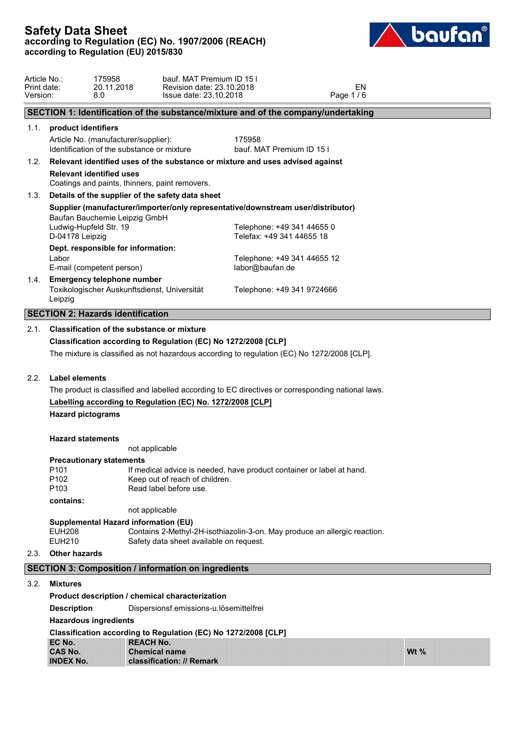

| Article No.:<br>Print date:<br>Version: | 8.0                                                                                          | 175958<br>20.11.2018 | bauf. MAT Premium ID 15 I<br>Revision date: 23.10.2018<br>Issue date: 23.10.2018 |                                                                                    | Page 1/6                                                                                          | EN |        |
|-----------------------------------------|----------------------------------------------------------------------------------------------|----------------------|----------------------------------------------------------------------------------|------------------------------------------------------------------------------------|---------------------------------------------------------------------------------------------------|----|--------|
|                                         |                                                                                              |                      |                                                                                  |                                                                                    | SECTION 1: Identification of the substance/mixture and of the company/undertaking                 |    |        |
|                                         | 1.1. product identifiers                                                                     |                      |                                                                                  |                                                                                    |                                                                                                   |    |        |
|                                         | Article No. (manufacturer/supplier):<br>Identification of the substance or mixture           |                      |                                                                                  | 175958                                                                             | bauf. MAT Premium ID 15 I                                                                         |    |        |
|                                         |                                                                                              |                      |                                                                                  | 1.2. Relevant identified uses of the substance or mixture and uses advised against |                                                                                                   |    |        |
|                                         | <b>Relevant identified uses</b>                                                              |                      | Coatings and paints, thinners, paint removers.                                   |                                                                                    |                                                                                                   |    |        |
| 1.3.                                    |                                                                                              |                      | Details of the supplier of the safety data sheet                                 |                                                                                    |                                                                                                   |    |        |
|                                         |                                                                                              |                      |                                                                                  |                                                                                    | Supplier (manufacturer/importer/only representative/downstream user/distributor)                  |    |        |
|                                         | Baufan Bauchemie Leipzig GmbH<br>Ludwig-Hupfeld Str. 19<br>D-04178 Leipzig                   |                      |                                                                                  | Telefax: +49 341 44655 18                                                          | Telephone: +49 341 44655 0                                                                        |    |        |
|                                         | Dept. responsible for information:<br>Labor<br>E-mail (competent person)                     |                      |                                                                                  | labor@baufan.de                                                                    | Telephone: +49 341 44655 12                                                                       |    |        |
| 1.4.                                    | <b>Emergency telephone number</b><br>Toxikologischer Auskunftsdienst, Universität<br>Leipzig |                      |                                                                                  |                                                                                    | Telephone: +49 341 9724666                                                                        |    |        |
|                                         | <b>SECTION 2: Hazards identification</b>                                                     |                      |                                                                                  |                                                                                    |                                                                                                   |    |        |
| 2.1.                                    | <b>Classification of the substance or mixture</b>                                            |                      |                                                                                  | Classification according to Regulation (EC) No 1272/2008 [CLP]                     | The mixture is classified as not hazardous according to regulation (EC) No 1272/2008 [CLP].       |    |        |
| 2.2.                                    | Label elements                                                                               |                      |                                                                                  |                                                                                    |                                                                                                   |    |        |
|                                         |                                                                                              |                      |                                                                                  |                                                                                    | The product is classified and labelled according to EC directives or corresponding national laws. |    |        |
|                                         |                                                                                              |                      |                                                                                  | Labelling according to Regulation (EC) No. 1272/2008 [CLP]                         |                                                                                                   |    |        |
|                                         | <b>Hazard pictograms</b>                                                                     |                      |                                                                                  |                                                                                    |                                                                                                   |    |        |
|                                         | <b>Hazard statements</b>                                                                     |                      |                                                                                  |                                                                                    |                                                                                                   |    |        |
|                                         |                                                                                              | not applicable       |                                                                                  |                                                                                    |                                                                                                   |    |        |
|                                         | <b>Precautionary statements</b><br>P <sub>101</sub><br>P <sub>102</sub><br>P103              |                      | Keep out of reach of children.<br>Read label before use.                         |                                                                                    | If medical advice is needed, have product container or label at hand.                             |    |        |
|                                         | contains:                                                                                    |                      |                                                                                  |                                                                                    |                                                                                                   |    |        |
|                                         |                                                                                              | not applicable       |                                                                                  |                                                                                    |                                                                                                   |    |        |
|                                         | <b>Supplemental Hazard information (EU)</b><br><b>EUH208</b><br><b>EUH210</b>                |                      | Safety data sheet available on request.                                          |                                                                                    | Contains 2-Methyl-2H-isothiazolin-3-on. May produce an allergic reaction.                         |    |        |
| 2.3.                                    | <b>Other hazards</b>                                                                         |                      |                                                                                  |                                                                                    |                                                                                                   |    |        |
|                                         |                                                                                              |                      | <b>SECTION 3: Composition / information on ingredients</b>                       |                                                                                    |                                                                                                   |    |        |
| 3.2.                                    | <b>Mixtures</b>                                                                              |                      |                                                                                  |                                                                                    |                                                                                                   |    |        |
|                                         |                                                                                              |                      | Product description / chemical characterization                                  |                                                                                    |                                                                                                   |    |        |
|                                         | <b>Description</b>                                                                           |                      | Dispersionsf.emissions-u.lösemittelfrei                                          |                                                                                    |                                                                                                   |    |        |
|                                         | <b>Hazardous ingredients</b>                                                                 |                      |                                                                                  |                                                                                    |                                                                                                   |    |        |
|                                         |                                                                                              |                      |                                                                                  | Classification according to Regulation (EC) No 1272/2008 [CLP]                     |                                                                                                   |    |        |
|                                         | EC No.                                                                                       | <b>REACH No.</b>     |                                                                                  |                                                                                    |                                                                                                   |    |        |
|                                         | <b>CAS No.</b><br><b>INDEX No.</b>                                                           |                      | <b>Chemical name</b><br>classification: // Remark                                |                                                                                    |                                                                                                   |    | Wt $%$ |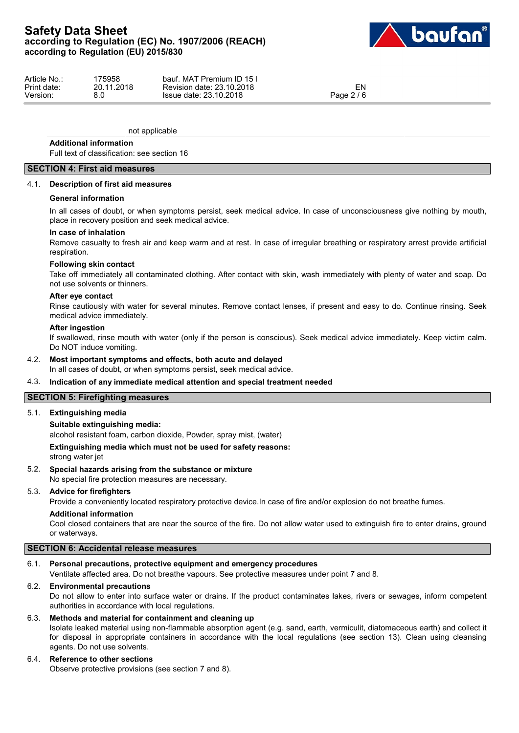

| Article No.: | 175958     | bauf. MAT Premium ID 15 I |            |  |
|--------------|------------|---------------------------|------------|--|
| Print date:  | 20.11.2018 | Revision date: 23.10.2018 | EN         |  |
| Version:     | n n        | Issue date: 23.10.2018    | Page 2 / 6 |  |

not applicable

#### **Additional information**

Full text of classification: see section 16

## **SECTION 4: First aid measures**

#### 4.1. **Description of first aid measures**

#### **General information**

In all cases of doubt, or when symptoms persist, seek medical advice. In case of unconsciousness give nothing by mouth, place in recovery position and seek medical advice.

#### **In case of inhalation**

Remove casualty to fresh air and keep warm and at rest. In case of irregular breathing or respiratory arrest provide artificial respiration.

#### **Following skin contact**

Take off immediately all contaminated clothing. After contact with skin, wash immediately with plenty of water and soap. Do not use solvents or thinners.

#### **After eye contact**

Rinse cautiously with water for several minutes. Remove contact lenses, if present and easy to do. Continue rinsing. Seek medical advice immediately.

#### **After ingestion**

If swallowed, rinse mouth with water (only if the person is conscious). Seek medical advice immediately. Keep victim calm. Do NOT induce vomiting.

## 4.2. **Most important symptoms and effects, both acute and delayed**

In all cases of doubt, or when symptoms persist, seek medical advice.

#### 4.3. **Indication of any immediate medical attention and special treatment needed**

#### **SECTION 5: Firefighting measures**

#### 5.1. **Extinguishing media**

#### **Suitable extinguishing media:**

alcohol resistant foam, carbon dioxide, Powder, spray mist, (water)

#### **Extinguishing media which must not be used for safety reasons:**

strong water jet

#### 5.2. **Special hazards arising from the substance or mixture**

No special fire protection measures are necessary.

#### 5.3. **Advice for firefighters**

Provide a conveniently located respiratory protective device.In case of fire and/or explosion do not breathe fumes.

### **Additional information**

Cool closed containers that are near the source of the fire. Do not allow water used to extinguish fire to enter drains, ground or waterways.

## **SECTION 6: Accidental release measures**

## 6.1. **Personal precautions, protective equipment and emergency procedures**

Ventilate affected area. Do not breathe vapours. See protective measures under point 7 and 8.

#### 6.2. **Environmental precautions**

Do not allow to enter into surface water or drains. If the product contaminates lakes, rivers or sewages, inform competent authorities in accordance with local regulations.

#### 6.3. **Methods and material for containment and cleaning up**

Isolate leaked material using non-flammable absorption agent (e.g. sand, earth, vermiculit, diatomaceous earth) and collect it for disposal in appropriate containers in accordance with the local regulations (see section 13). Clean using cleansing agents. Do not use solvents.

## 6.4. **Reference to other sections**

Observe protective provisions (see section 7 and 8).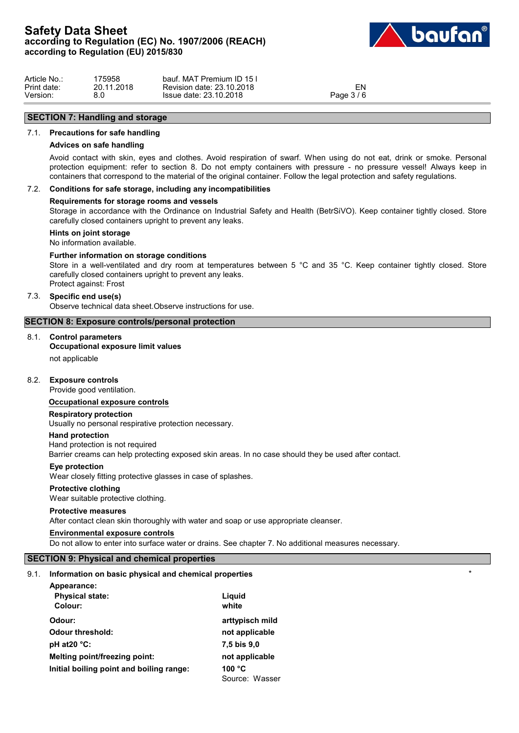

| Article No  | 175958     | วauf. MAT Pi<br>Premium ID 15<br>bauf. |          |  |
|-------------|------------|----------------------------------------|----------|--|
| Print date: | 20.11.2018 | Revision date: 23.10.2018              | ΕN       |  |
| Version:    | 8.0        | Issue date: 23.10.2018                 | Page 3/6 |  |

# **SECTION 7: Handling and storage**

#### 7.1. **Precautions for safe handling**

#### **Advices on safe handling**

Avoid contact with skin, eyes and clothes. Avoid respiration of swarf. When using do not eat, drink or smoke. Personal protection equipment: refer to section 8. Do not empty containers with pressure - no pressure vessel! Always keep in containers that correspond to the material of the original container. Follow the legal protection and safety regulations.

## 7.2. **Conditions for safe storage, including any incompatibilities**

#### **Requirements for storage rooms and vessels**

Storage in accordance with the Ordinance on Industrial Safety and Health (BetrSiVO). Keep container tightly closed. Store carefully closed containers upright to prevent any leaks.

## **Hints on joint storage**

No information available.

#### **Further information on storage conditions**

Store in a well-ventilated and dry room at temperatures between 5 °C and 35 °C. Keep container tightly closed. Store carefully closed containers upright to prevent any leaks. Protect against: Frost

#### 7.3. **Specific end use(s)**

Observe technical data sheet.Observe instructions for use.

#### **SECTION 8: Exposure controls/personal protection**

## 8.1. **Control parameters**

## **Occupational exposure limit values**

not applicable

## 8.2. **Exposure controls**

Provide good ventilation.

#### **Occupational exposure controls**

#### **Respiratory protection**

Usually no personal respirative protection necessary.

#### **Hand protection**

Hand protection is not required Barrier creams can help protecting exposed skin areas. In no case should they be used after contact.

#### **Eye protection**

Wear closely fitting protective glasses in case of splashes.

#### **Protective clothing**

Wear suitable protective clothing.

#### **Protective measures**

After contact clean skin thoroughly with water and soap or use appropriate cleanser.

#### **Environmental exposure controls**

Do not allow to enter into surface water or drains. See chapter 7. No additional measures necessary.

## **SECTION 9: Physical and chemical properties**

#### 9.1. **Information on basic physical and chemical properties** \*

| Appearance:                              |                 |
|------------------------------------------|-----------------|
| <b>Physical state:</b>                   | Liguid          |
| Colour:                                  | white           |
| Odour:                                   | arttypisch mild |
| <b>Odour threshold:</b>                  | not applicable  |
| pH at $20^{\circ}$ C:                    | 7,5 bis 9,0     |
| Melting point/freezing point:            | not applicable  |
| Initial boiling point and boiling range: | 100 $\degree$ C |
|                                          | Source: Wasser  |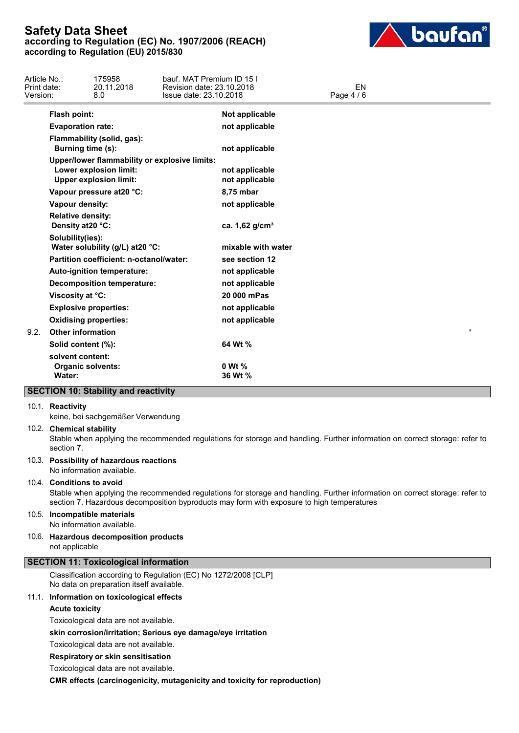

| Article No.:<br>Print date:<br>Version: |                                               | 175958<br>20.11.2018<br>8.0                                                                              | bauf. MAT Premium ID 15 I<br>Revision date: 23.10.2018<br>Issue date: 23.10.2018 |                                  | EN<br>Page 4 / 6 |         |  |
|-----------------------------------------|-----------------------------------------------|----------------------------------------------------------------------------------------------------------|----------------------------------------------------------------------------------|----------------------------------|------------------|---------|--|
|                                         | <b>Flash point:</b>                           |                                                                                                          |                                                                                  | Not applicable                   |                  |         |  |
|                                         | <b>Evaporation rate:</b>                      |                                                                                                          |                                                                                  | not applicable                   |                  |         |  |
|                                         | Burning time (s):                             | Flammability (solid, gas):                                                                               |                                                                                  | not applicable                   |                  |         |  |
|                                         |                                               | Upper/lower flammability or explosive limits:<br>Lower explosion limit:<br><b>Upper explosion limit:</b> |                                                                                  | not applicable<br>not applicable |                  |         |  |
|                                         |                                               | Vapour pressure at 20 °C:                                                                                |                                                                                  | 8,75 mbar                        |                  |         |  |
|                                         | Vapour density:                               |                                                                                                          |                                                                                  | not applicable                   |                  |         |  |
|                                         | <b>Relative density:</b><br>Density at 20 °C: |                                                                                                          |                                                                                  | ca. 1,62 g/cm <sup>3</sup>       |                  |         |  |
|                                         | Solubility(ies):                              | Water solubility (g/L) at 20 °C:                                                                         |                                                                                  | mixable with water               |                  |         |  |
|                                         |                                               | Partition coefficient: n-octanol/water:                                                                  |                                                                                  | see section 12                   |                  |         |  |
|                                         |                                               | Auto-ignition temperature:                                                                               |                                                                                  | not applicable                   |                  |         |  |
|                                         |                                               | <b>Decomposition temperature:</b>                                                                        |                                                                                  | not applicable                   |                  |         |  |
|                                         | Viscosity at °C:                              |                                                                                                          |                                                                                  | 20 000 mPas                      |                  |         |  |
|                                         |                                               | <b>Explosive properties:</b>                                                                             |                                                                                  | not applicable                   |                  |         |  |
|                                         |                                               | <b>Oxidising properties:</b>                                                                             |                                                                                  | not applicable                   |                  |         |  |
| 9.2.                                    | <b>Other information</b>                      |                                                                                                          |                                                                                  |                                  |                  | $\star$ |  |
|                                         | Solid content (%):                            |                                                                                                          |                                                                                  | 64 Wt %                          |                  |         |  |
|                                         | solvent content:<br>Water:                    | <b>Organic solvents:</b>                                                                                 |                                                                                  | 0 Wt %<br>36 Wt %                |                  |         |  |
|                                         |                                               | <b>SECTION 10: Stability and reactivity</b>                                                              |                                                                                  |                                  |                  |         |  |

#### 10.1. **Reactivity**

keine, bei sachgemäßer Verwendung

#### 10.2. **Chemical stability**

Stable when applying the recommended regulations for storage and handling. Further information on correct storage: refer to section 7.

## 10.3. **Possibility of hazardous reactions**

No information available.

## 10.4. **Conditions to avoid**

Stable when applying the recommended regulations for storage and handling. Further information on correct storage: refer to section 7. Hazardous decomposition byproducts may form with exposure to high temperatures

#### 10.5. **Incompatible materials**

No information available.

#### 10.6. **Hazardous decomposition products** not applicable

# **SECTION 11: Toxicological information**

Classification according to Regulation (EC) No 1272/2008 [CLP] No data on preparation itself available.

#### 11.1. **Information on toxicological effects**

**Acute toxicity**

Toxicological data are not available.

**skin corrosion/irritation; Serious eye damage/eye irritation**

Toxicological data are not available.

**Respiratory or skin sensitisation**

Toxicological data are not available.

**CMR effects (carcinogenicity, mutagenicity and toxicity for reproduction)**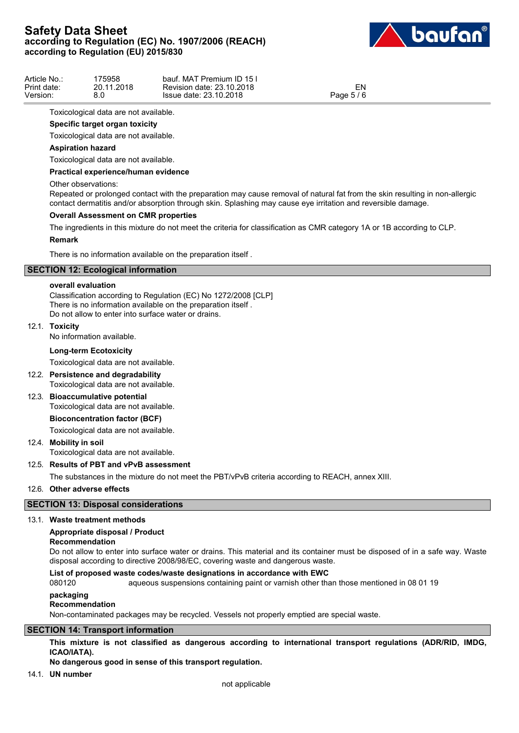

| Article No.: | 75958'     | bauf. MAT Premium ID 15 I |                     |  |
|--------------|------------|---------------------------|---------------------|--|
| Print date:  | 20.11.2018 | Revision date: 23.10.2018 | EN                  |  |
| Version:     | 8.0        | Issue date: 23.10.2018    | $-5/6$<br>Page $51$ |  |

Toxicological data are not available.

## **Specific target organ toxicity**

Toxicological data are not available.

## **Aspiration hazard**

Toxicological data are not available.

#### **Practical experience/human evidence**

#### Other observations:

Repeated or prolonged contact with the preparation may cause removal of natural fat from the skin resulting in non-allergic contact dermatitis and/or absorption through skin. Splashing may cause eye irritation and reversible damage.

#### **Overall Assessment on CMR properties**

The ingredients in this mixture do not meet the criteria for classification as CMR category 1A or 1B according to CLP.

#### **Remark**

There is no information available on the preparation itself .

## **SECTION 12: Ecological information**

#### **overall evaluation**

Classification according to Regulation (EC) No 1272/2008 [CLP] There is no information available on the preparation itself . Do not allow to enter into surface water or drains.

#### 12.1. **Toxicity**

No information available.

#### **Long-term Ecotoxicity**

Toxicological data are not available.

12.2. **Persistence and degradability**

Toxicological data are not available.

# 12.3. **Bioaccumulative potential**

Toxicological data are not available.

## **Bioconcentration factor (BCF)**

Toxicological data are not available.

## 12.4. **Mobility in soil**

Toxicological data are not available.

#### 12.5. **Results of PBT and vPvB assessment**

The substances in the mixture do not meet the PBT/vPvB criteria according to REACH, annex XIII.

## 12.6. **Other adverse effects**

## **SECTION 13: Disposal considerations**

#### 13.1. **Waste treatment methods**

## **Appropriate disposal / Product**

**Recommendation**

Do not allow to enter into surface water or drains. This material and its container must be disposed of in a safe way. Waste disposal according to directive 2008/98/EC, covering waste and dangerous waste.

#### **List of proposed waste codes/waste designations in accordance with EWC**

080120 aqueous suspensions containing paint or varnish other than those mentioned in 08 01 19

#### **packaging**

#### **Recommendation**

Non-contaminated packages may be recycled. Vessels not properly emptied are special waste.

## **SECTION 14: Transport information**

**This mixture is not classified as dangerous according to international transport regulations (ADR/RID, IMDG, ICAO/IATA).**

## **No dangerous good in sense of this transport regulation.**

14.1. **UN number**